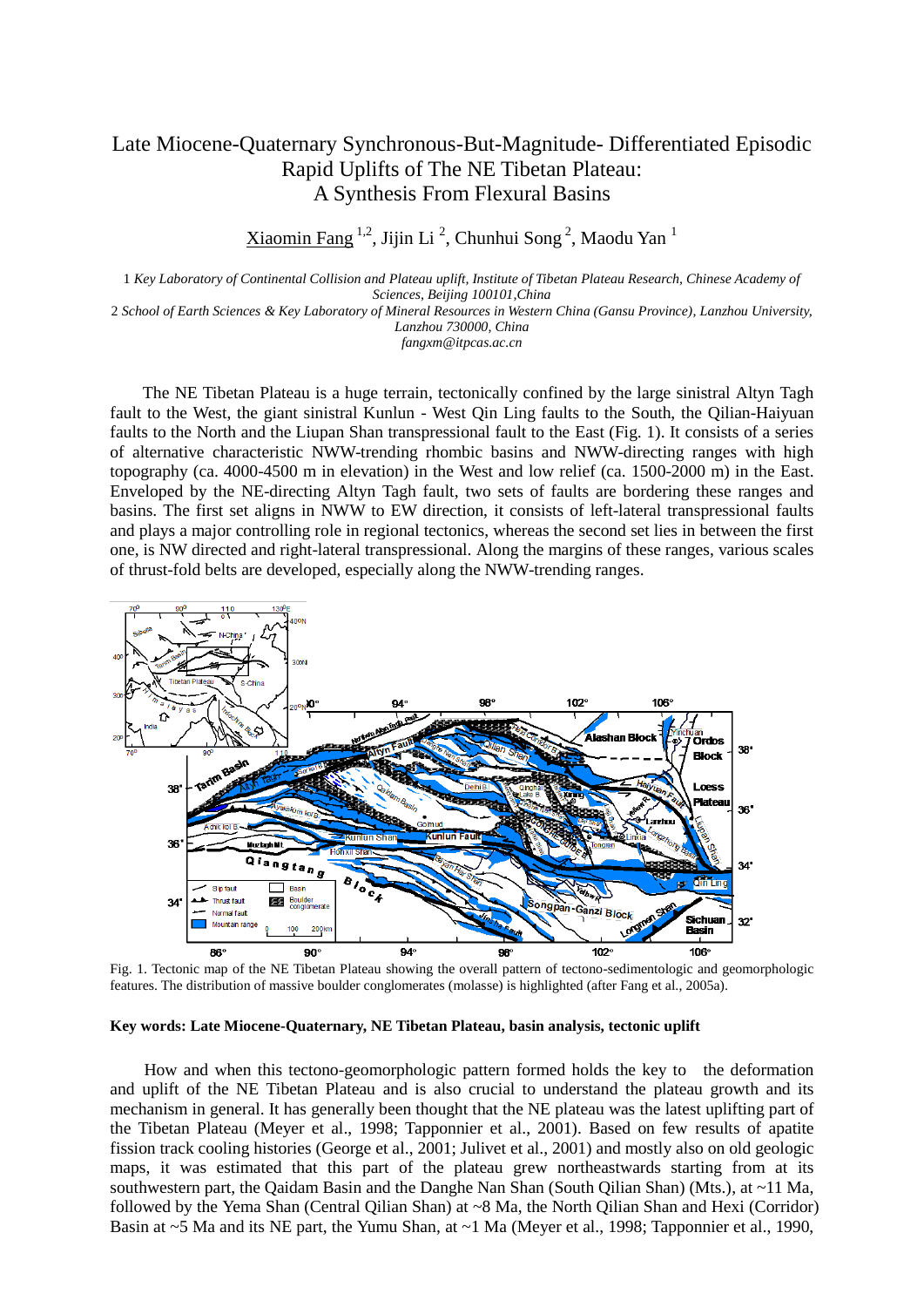## Late Miocene-Quaternary Synchronous-But-Magnitude- Differentiated Episodic Rapid Uplifts of The NE Tibetan Plateau: A Synthesis From Flexural Basins

Xiaomin Fang <sup>1,2</sup>, Jijin Li <sup>2</sup>, Chunhui Song <sup>2</sup>, Maodu Yan <sup>1</sup>

1 *Key Laboratory of Continental Collision and Plateau uplift, Institute of Tibetan Plateau Research, Chinese Academy of Sciences, Beijing 100101,China* 2 *School of Earth Sciences & Key Laboratory of Mineral Resources in Western China (Gansu Province), Lanzhou University,*

*Lanzhou 730000, China fangxm@itpcas.ac.cn*

The NE Tibetan Plateau is a huge terrain, tectonically confined by the large sinistral Altyn Tagh fault to the West, the giant sinistral Kunlun - West Qin Ling faults to the South, the Qilian-Haiyuan faults to the North and the Liupan Shan transpressional fault to the East (Fig. 1). It consists of a series of alternative characteristic NWW-trending rhombic basins and NWW-directing ranges with high topography (ca. 4000-4500 m in elevation) in the West and low relief (ca. 1500-2000 m) in the East. Enveloped by the NE-directing Altyn Tagh fault, two sets of faults are bordering these ranges and basins. The first set aligns in NWW to EW direction, it consists of left-lateral transpressional faults and plays a major controlling role in regional tectonics, whereas the second set lies in between the first one, is NW directed and right-lateral transpressional. Along the margins of these ranges, various scales of thrust-fold belts are developed, especially along the NWW-trending ranges.



Fig. 1. Tectonic map of the NE Tibetan Plateau showing the overall pattern of tectono-sedimentologic and geomorphologic features. The distribution of massive boulder conglomerates (molasse) is highlighted (after Fang et al., 2005a).

## **Key words: Late Miocene-Quaternary, NE Tibetan Plateau, basin analysis, tectonic uplift**

How and when this tectono-geomorphologic pattern formed holds the key to the deformation and uplift of the NE Tibetan Plateau and is also crucial to understand the plateau growth and its mechanism in general. It has generally been thought that the NE plateau was the latest uplifting part of the Tibetan Plateau (Meyer et al., 1998; Tapponnier et al., 2001). Based on few results of apatite fission track cooling histories (George et al., 2001; Julivet et al., 2001) and mostly also on old geologic maps, it was estimated that this part of the plateau grew northeastwards starting from at its southwestern part, the Qaidam Basin and the Danghe Nan Shan (South Qilian Shan) (Mts.), at ~11 Ma, followed by the Yema Shan (Central Qilian Shan) at ~8 Ma, the North Qilian Shan and Hexi (Corridor) Basin at ~5 Ma and its NE part, the Yumu Shan, at ~1 Ma (Meyer et al., 1998; Tapponnier et al., 1990,